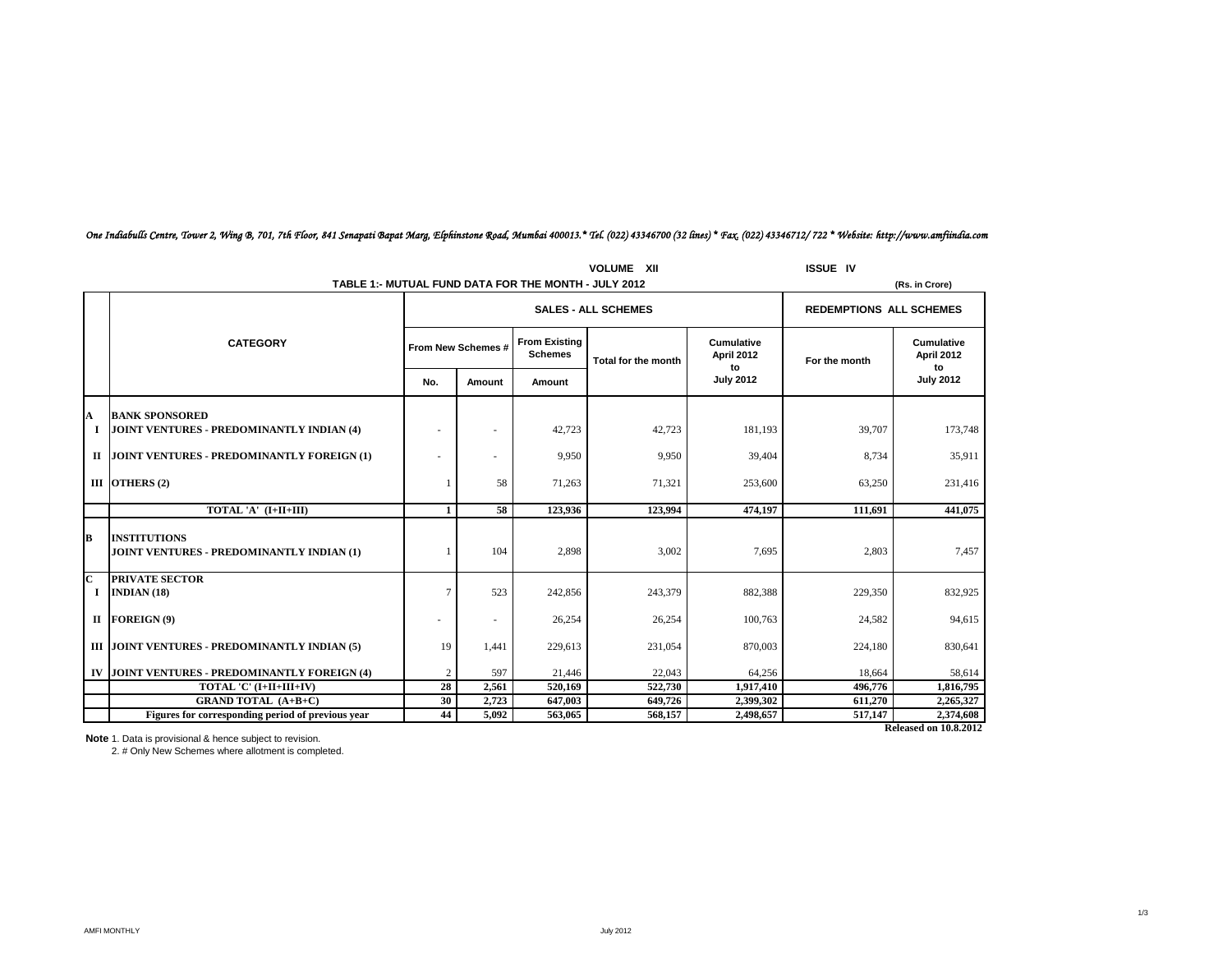| <b>VOLUME XII</b>          |                                                                    |                    |                |                                        |                     |                                |               | <b>ISSUE IV</b>                |  |
|----------------------------|--------------------------------------------------------------------|--------------------|----------------|----------------------------------------|---------------------|--------------------------------|---------------|--------------------------------|--|
|                            | TABLE 1:- MUTUAL FUND DATA FOR THE MONTH - JULY 2012               |                    | (Rs. in Crore) |                                        |                     |                                |               |                                |  |
|                            |                                                                    |                    |                | <b>SALES - ALL SCHEMES</b>             |                     | <b>REDEMPTIONS ALL SCHEMES</b> |               |                                |  |
|                            | <b>CATEGORY</b>                                                    | From New Schemes # |                | <b>From Existing</b><br><b>Schemes</b> | Total for the month | Cumulative<br>April 2012<br>to | For the month | Cumulative<br>April 2012<br>to |  |
|                            |                                                                    | No.                | Amount         | Amount                                 |                     | <b>July 2012</b>               |               | <b>July 2012</b>               |  |
| A<br>1                     | <b>BANK SPONSORED</b><br>JOINT VENTURES - PREDOMINANTLY INDIAN (4) | ٠                  |                | 42.723                                 | 42,723              | 181,193                        | 39,707        | 173,748                        |  |
|                            | II JOINT VENTURES - PREDOMINANTLY FOREIGN (1)                      |                    |                | 9,950                                  | 9,950               | 39,404                         | 8,734         | 35,911                         |  |
|                            | III OTHERS (2)                                                     |                    | 58             | 71,263                                 | 71,321              | 253,600                        | 63,250        | 231,416                        |  |
|                            | TOTAL 'A' (I+II+III)                                               | 1                  | 58             | 123.936                                | 123.994             | 474.197                        | 111.691       | 441,075                        |  |
| B                          | <b>INSTITUTIONS</b><br>JOINT VENTURES - PREDOMINANTLY INDIAN (1)   |                    | 104            | 2,898                                  | 3,002               | 7,695                          | 2,803         | 7,457                          |  |
| $\overline{\text{c}}$<br>1 | <b>PRIVATE SECTOR</b><br>INDIAN $(18)$                             | 7                  | 523            | 242,856                                | 243,379             | 882,388                        | 229,350       | 832,925                        |  |
|                            | II FOREIGN $(9)$                                                   | ۰                  | ٠              | 26,254                                 | 26,254              | 100,763                        | 24,582        | 94,615                         |  |
|                            | III JOINT VENTURES - PREDOMINANTLY INDIAN (5)                      | 19                 | 1,441          | 229,613                                | 231,054             | 870,003                        | 224,180       | 830,641                        |  |
|                            | IV JOINT VENTURES - PREDOMINANTLY FOREIGN (4)                      | $\overline{2}$     | 597            | 21,446                                 | 22,043              | 64,256                         | 18,664        | 58,614                         |  |
|                            | TOTAL 'C' (I+II+III+IV)                                            | 28                 | 2,561          | 520,169                                | 522,730             | 1,917,410                      | 496,776       | 1,816,795                      |  |
|                            | <b>GRAND TOTAL (A+B+C)</b>                                         | 30                 | 2,723          | 647,003                                | 649,726             | 2,399,302                      | 611,270       | 2,265,327                      |  |
|                            | Figures for corresponding period of previous year                  | 44                 | 5,092          | 563,065                                | 568,157             | 2,498,657                      | 517,147       | 2,374,608                      |  |
|                            | <b>Released on 10.8.2012</b>                                       |                    |                |                                        |                     |                                |               |                                |  |

# *One Indiabulls Centre, Tower 2, Wing B, 701, 7th Floor, 841 Senapati Bapat Marg, Elphinstone Road, Mumbai 400013.\* Tel. (022) 43346700 (32 lines) \* Fax. (022) 43346712/ 722 \* Website: http://www.amfiindia.com*

**Note** 1. Data is provisional & hence subject to revision.<br>2. # Only New Schemes where allotment is completed.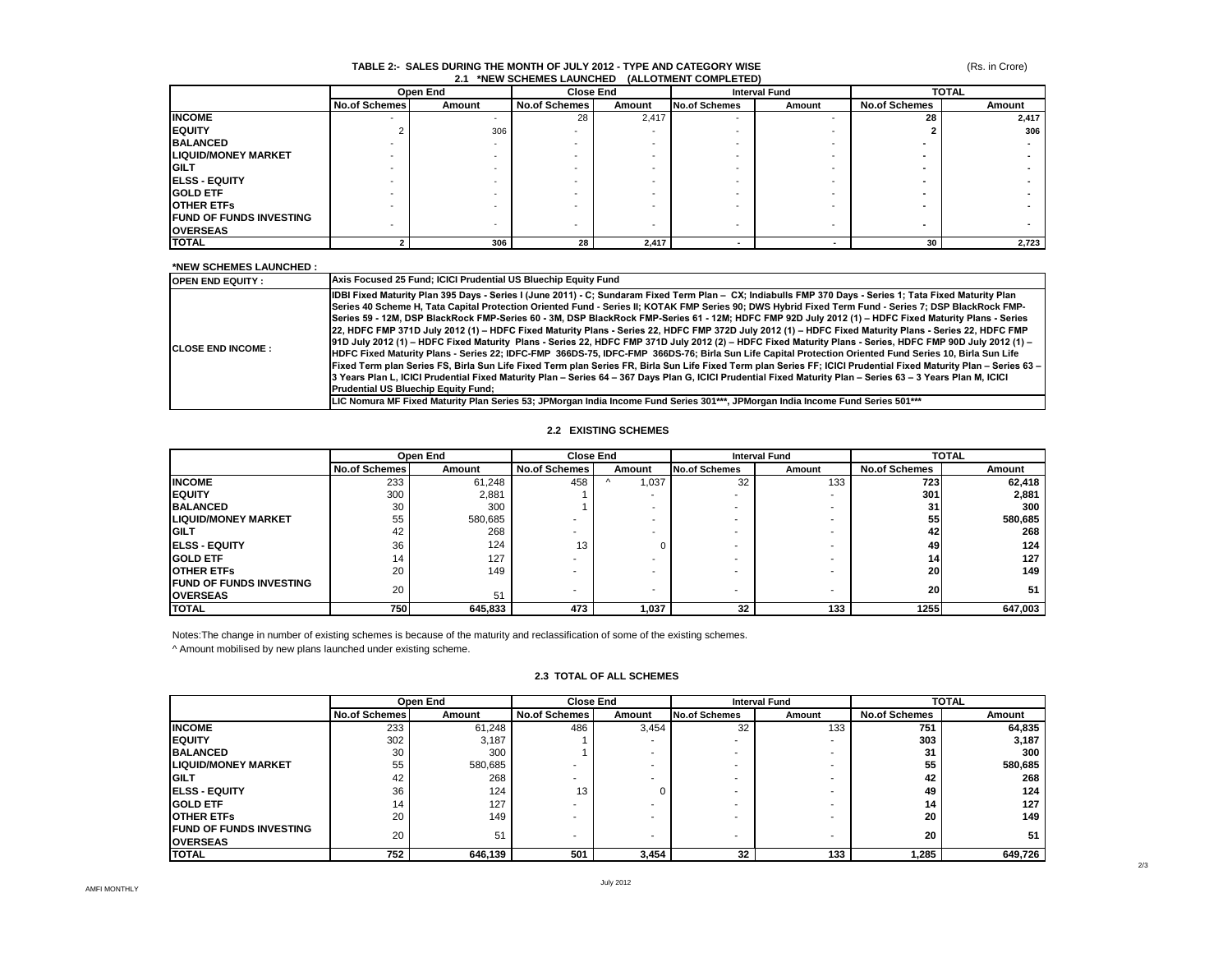#### **TABLE 2:- SALES DURING THE MONTH OF JULY 2012 - TYPE AND CATEGORY WISE 2.1 \*NEW SCHEMES LAUNCHED (ALLOTMENT COMPLETED)**

(Rs. in Crore)

|                                | Open End             |        |                      | <b>Close End</b> |                          | <b>Interval Fund</b> |                      | <b>TOTAL</b> |  |
|--------------------------------|----------------------|--------|----------------------|------------------|--------------------------|----------------------|----------------------|--------------|--|
|                                | <b>No.of Schemes</b> | Amount | <b>No.of Schemes</b> | Amount           | <b>No.of Schemes</b>     | Amount               | <b>No.of Schemes</b> | Amount       |  |
| <b>INCOME</b>                  |                      | $\sim$ | 28                   | 2,417            | $\sim$                   |                      | 28                   | 2.417        |  |
| <b>EQUITY</b>                  |                      | 306    |                      |                  |                          |                      |                      | 306          |  |
| <b>BALANCED</b>                |                      |        |                      |                  |                          |                      |                      |              |  |
| <b>LIQUID/MONEY MARKET</b>     |                      |        |                      |                  |                          |                      |                      |              |  |
| <b>IGILT</b>                   |                      |        |                      |                  |                          |                      |                      |              |  |
| <b>IELSS - EQUITY</b>          |                      |        |                      |                  |                          |                      |                      |              |  |
| <b>IGOLD ETF</b>               |                      |        |                      |                  |                          |                      |                      |              |  |
| <b>IOTHER ETFS</b>             |                      |        |                      |                  |                          |                      |                      |              |  |
| <b>FUND OF FUNDS INVESTING</b> |                      |        |                      |                  |                          |                      |                      |              |  |
| <b>OVERSEAS</b>                |                      |        |                      |                  | $\sim$                   |                      |                      |              |  |
| <b>TOTAL</b>                   |                      | 306    | 28                   | 2.417            | $\overline{\phantom{a}}$ |                      | 30                   | 2,723        |  |

#### **\*NEW SCHEMES LAUNCHED :**

| <b>OPEN END EQUITY:</b>   | Axis Focused 25 Fund; ICICI Prudential US Bluechip Equity Fund                                                                                                                                                                                                                                                                                                                                                                                                                                                                                                                                                                                                                                                                                                                                                                                                                                                                                                                                                                                                                                                                                                                                                                                                                                                                                                                                                                                                                      |
|---------------------------|-------------------------------------------------------------------------------------------------------------------------------------------------------------------------------------------------------------------------------------------------------------------------------------------------------------------------------------------------------------------------------------------------------------------------------------------------------------------------------------------------------------------------------------------------------------------------------------------------------------------------------------------------------------------------------------------------------------------------------------------------------------------------------------------------------------------------------------------------------------------------------------------------------------------------------------------------------------------------------------------------------------------------------------------------------------------------------------------------------------------------------------------------------------------------------------------------------------------------------------------------------------------------------------------------------------------------------------------------------------------------------------------------------------------------------------------------------------------------------------|
| <b>ICLOSE END INCOME:</b> | IDBI Fixed Maturity Plan 395 Days - Series I (June 2011) - C; Sundaram Fixed Term Plan - CX; Indiabulls FMP 370 Days - Series 1; Tata Fixed Maturity Plan<br>Series 40 Scheme H, Tata Capital Protection Oriented Fund - Series II; KOTAK FMP Series 90; DWS Hybrid Fixed Term Fund - Series 7; DSP BlackRock FMP-<br>Series 59 - 12M, DSP BlackRock FMP-Series 60 - 3M, DSP BlackRock FMP-Series 61 - 12M; HDFC FMP 92D July 2012 (1) - HDFC Fixed Maturity Plans - Series<br>22, HDFC FMP 371D July 2012 (1) - HDFC Fixed Maturity Plans - Series 22, HDFC FMP 372D July 2012 (1) - HDFC Fixed Maturity Plans - Series 22, HDFC FMP<br>- 10 July 2012 (1) - HDFC Fixed Maturity Plans - Series 22, HDFC FMP 371D July 2012 (2) - HDFC Fixed Maturity Plans - Series, HDFC FMP 90D July 2012 (1) -<br>HDFC Fixed Maturity Plans - Series 22; IDFC-FMP 366DS-75, IDFC-FMP 366DS-76; Birla Sun Life Capital Protection Oriented Fund Series 10, Birla Sun Life<br>Fixed Term plan Series FS, Birla Sun Life Fixed Term plan Series FR, Birla Sun Life Fixed Term plan Series FF; ICICI Prudential Fixed Maturity Plan - Series 63 -<br>3 Years Plan L, ICICI Prudential Fixed Maturity Plan - Series 64 - 367 Days Plan G, ICICI Prudential Fixed Maturity Plan - Series 63 - 3 Years Plan M, ICICI<br><b>Prudential US Bluechip Equity Fund:</b><br>LIC Nomura MF Fixed Maturity Plan Series 53; JPMorgan India Income Fund Series 301***, JPMorgan India Income Fund Series 501*** |

#### **2.2 EXISTING SCHEMES**

|                                 | Open End             |         | <b>Close End</b>     |                          | <b>Interval Fund</b> |        | <b>TOTAL</b>         |         |
|---------------------------------|----------------------|---------|----------------------|--------------------------|----------------------|--------|----------------------|---------|
|                                 | <b>No.of Schemes</b> | Amount  | <b>No.of Schemes</b> | Amount                   | <b>No.of Schemes</b> | Amount | <b>No.of Schemes</b> | Amount  |
| <b>INCOME</b>                   | 233                  | 61,248  | 458                  | i,037                    | 32                   | 133    | 723                  | 62,418  |
| <b>IEQUITY</b>                  | 300                  | 2,881   |                      |                          |                      |        | 301                  | 2,881   |
| <b>BALANCED</b>                 | 30                   | 300     |                      |                          |                      |        | 31                   | 300     |
| <b>LIQUID/MONEY MARKET</b>      | 55                   | 580,685 |                      |                          |                      |        | 55                   | 580,685 |
| <b>IGILT</b>                    | 42                   | 268     | ۰                    |                          |                      |        | 42                   | 268     |
| <b>IELSS - EQUITY</b>           | 36                   | 124     | 13                   |                          | -                    |        | 49                   | 124     |
| <b>IGOLD ETF</b>                | 14                   | 127     |                      |                          |                      |        | 14 <sup>1</sup>      | 127     |
| <b>IOTHER ETFS</b>              | 20                   | 149     |                      |                          |                      |        | 20                   | 149     |
| <b>IFUND OF FUNDS INVESTING</b> | 20                   |         |                      | $\overline{\phantom{0}}$ |                      |        | 20                   | 51      |
| <b>IOVERSEAS</b>                |                      | 51      |                      |                          |                      |        |                      |         |
| <b>TOTAL</b>                    | 750                  | 645,833 | 473                  | 1,037                    | 32                   | 133    | 1255                 | 647,003 |

Notes:The change in number of existing schemes is because of the maturity and reclassification of some of the existing schemes.

^ Amount mobilised by new plans launched under existing scheme.

|                                | Open End             |         | <b>Close End</b> |                          | <b>Interval Fund</b> |        | <b>TOTAL</b>         |         |
|--------------------------------|----------------------|---------|------------------|--------------------------|----------------------|--------|----------------------|---------|
|                                | <b>No.of Schemes</b> | Amount  | No.of Schemes    | Amount                   | <b>No.of Schemes</b> | Amount | <b>No.of Schemes</b> | Amount  |
| <b>INCOME</b>                  | 233                  | 61.248  | 486              | 3,454                    | 32                   | 133    | 751                  | 64,835  |
| <b>EQUITY</b>                  | 302                  | 3.187   |                  | ۰                        |                      |        | 303                  | 3,187   |
| <b>BALANCED</b>                | 30                   | 300     |                  |                          |                      |        | 31                   | 300     |
| <b>LIQUID/MONEY MARKET</b>     | 55                   | 580,685 |                  | $\overline{\phantom{a}}$ |                      |        | 55                   | 580,685 |
| <b>GILT</b>                    | 42                   | 268     |                  | $\overline{\phantom{a}}$ |                      |        | 42                   | 268     |
| <b>IELSS - EQUITY</b>          | 36                   | 124     | 13               |                          |                      |        | 49                   | 124     |
| <b>GOLD ETF</b>                | 14                   | 127     |                  | ۰                        |                      |        | 14                   | 127     |
| <b>OTHER ETFS</b>              | 20                   | 149     |                  |                          |                      |        | 20                   | 149     |
| <b>FUND OF FUNDS INVESTING</b> | 20                   | 51      | ۰                | ۰                        |                      | ۰      | 20                   | 51      |
| <b>OVERSEAS</b>                |                      |         |                  |                          |                      |        |                      |         |
| <b>TOTAL</b>                   | 752                  | 646,139 | 501              | 3,454                    | 32                   | 133    | 285, ا               | 649,726 |

#### **2.3 TOTAL OF ALL SCHEMES**